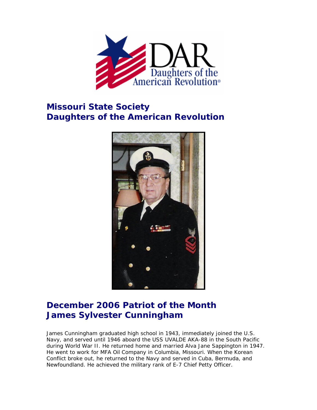

## **Missouri State Society Daughters of the American Revolution**



## **December 2006 Patriot of the Month James Sylvester Cunningham**

James Cunningham graduated high school in 1943, immediately joined the U.S. Navy, and served until 1946 aboard the USS UVALDE AKA-88 in the South Pacific during World War II. He returned home and married Alva Jane Sappington in 1947. He went to work for MFA Oil Company in Columbia, Missouri. When the Korean Conflict broke out, he returned to the Navy and served in Cuba, Bermuda, and Newfoundland. He achieved the military rank of E-7 Chief Petty Officer.